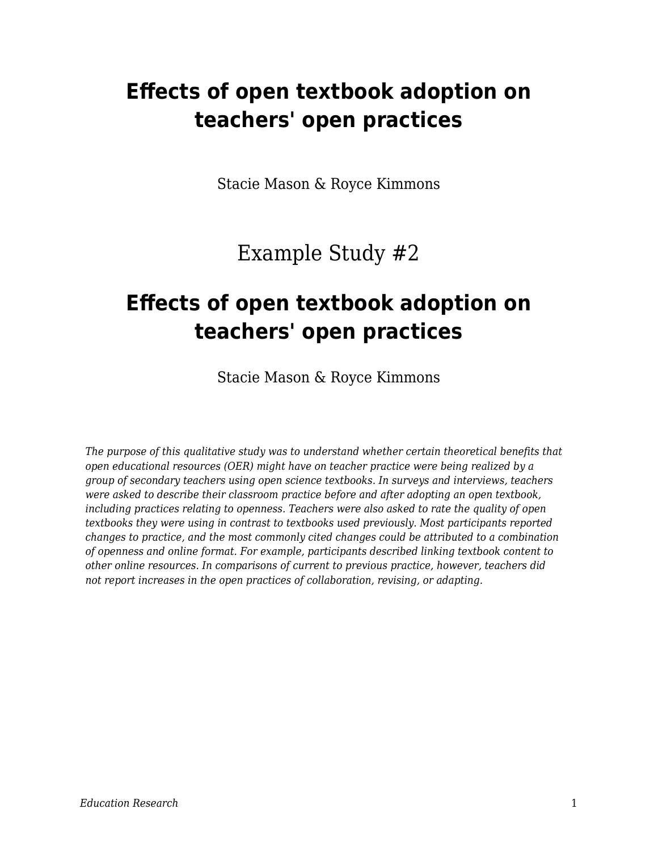# **Effects of open textbook adoption on teachers' open practices**

Stacie Mason & Royce Kimmons

Example Study #2

# **Effects of open textbook adoption on teachers' open practices**

Stacie Mason & Royce Kimmons

*The purpose of this qualitative study was to understand whether certain theoretical benefits that open educational resources (OER) might have on teacher practice were being realized by a group of secondary teachers using open science textbooks. In surveys and interviews, teachers were asked to describe their classroom practice before and after adopting an open textbook, including practices relating to openness. Teachers were also asked to rate the quality of open textbooks they were using in contrast to textbooks used previously. Most participants reported changes to practice, and the most commonly cited changes could be attributed to a combination of openness and online format. For example, participants described linking textbook content to other online resources. In comparisons of current to previous practice, however, teachers did not report increases in the open practices of collaboration, revising, or adapting.*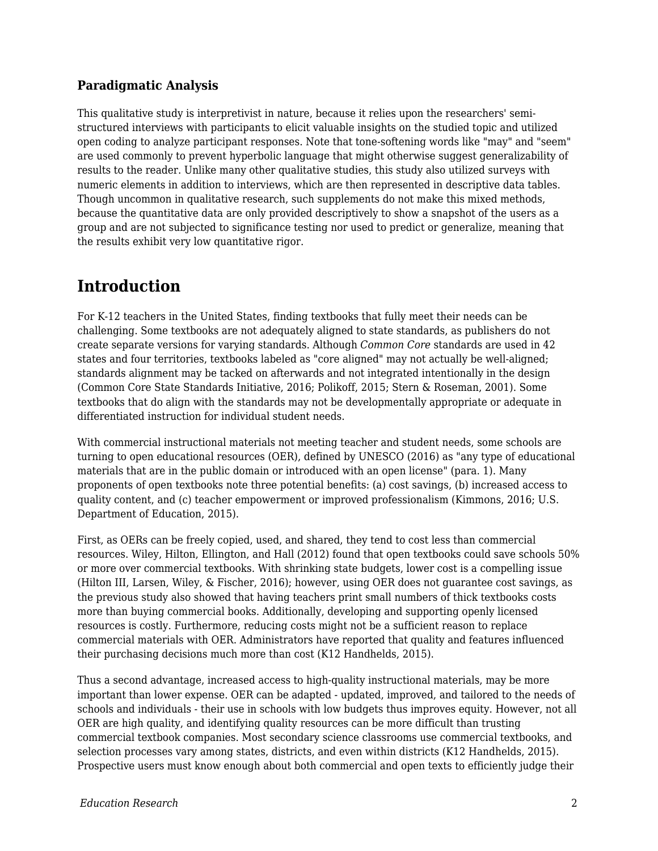### **Paradigmatic Analysis**

This qualitative study is interpretivist in nature, because it relies upon the researchers' semistructured interviews with participants to elicit valuable insights on the studied topic and utilized open coding to analyze participant responses. Note that tone-softening words like "may" and "seem" are used commonly to prevent hyperbolic language that might otherwise suggest generalizability of results to the reader. Unlike many other qualitative studies, this study also utilized surveys with numeric elements in addition to interviews, which are then represented in descriptive data tables. Though uncommon in qualitative research, such supplements do not make this mixed methods, because the quantitative data are only provided descriptively to show a snapshot of the users as a group and are not subjected to significance testing nor used to predict or generalize, meaning that the results exhibit very low quantitative rigor.

### **Introduction**

For K-12 teachers in the United States, finding textbooks that fully meet their needs can be challenging. Some textbooks are not adequately aligned to state standards, as publishers do not create separate versions for varying standards. Although *Common Core* standards are used in 42 states and four territories, textbooks labeled as "core aligned" may not actually be well-aligned; standards alignment may be tacked on afterwards and not integrated intentionally in the design (Common Core State Standards Initiative, 2016; Polikoff, 2015; Stern & Roseman, 2001). Some textbooks that do align with the standards may not be developmentally appropriate or adequate in differentiated instruction for individual student needs.

With commercial instructional materials not meeting teacher and student needs, some schools are turning to open educational resources (OER), defined by UNESCO (2016) as "any type of educational materials that are in the public domain or introduced with an open license" (para. 1). Many proponents of open textbooks note three potential benefits: (a) cost savings, (b) increased access to quality content, and (c) teacher empowerment or improved professionalism (Kimmons, 2016; U.S. Department of Education, 2015).

First, as OERs can be freely copied, used, and shared, they tend to cost less than commercial resources. Wiley, Hilton, Ellington, and Hall (2012) found that open textbooks could save schools 50% or more over commercial textbooks. With shrinking state budgets, lower cost is a compelling issue (Hilton III, Larsen, Wiley, & Fischer, 2016); however, using OER does not guarantee cost savings, as the previous study also showed that having teachers print small numbers of thick textbooks costs more than buying commercial books. Additionally, developing and supporting openly licensed resources is costly. Furthermore, reducing costs might not be a sufficient reason to replace commercial materials with OER. Administrators have reported that quality and features influenced their purchasing decisions much more than cost (K12 Handhelds, 2015).

Thus a second advantage, increased access to high-quality instructional materials, may be more important than lower expense. OER can be adapted - updated, improved, and tailored to the needs of schools and individuals - their use in schools with low budgets thus improves equity. However, not all OER are high quality, and identifying quality resources can be more difficult than trusting commercial textbook companies. Most secondary science classrooms use commercial textbooks, and selection processes vary among states, districts, and even within districts (K12 Handhelds, 2015). Prospective users must know enough about both commercial and open texts to efficiently judge their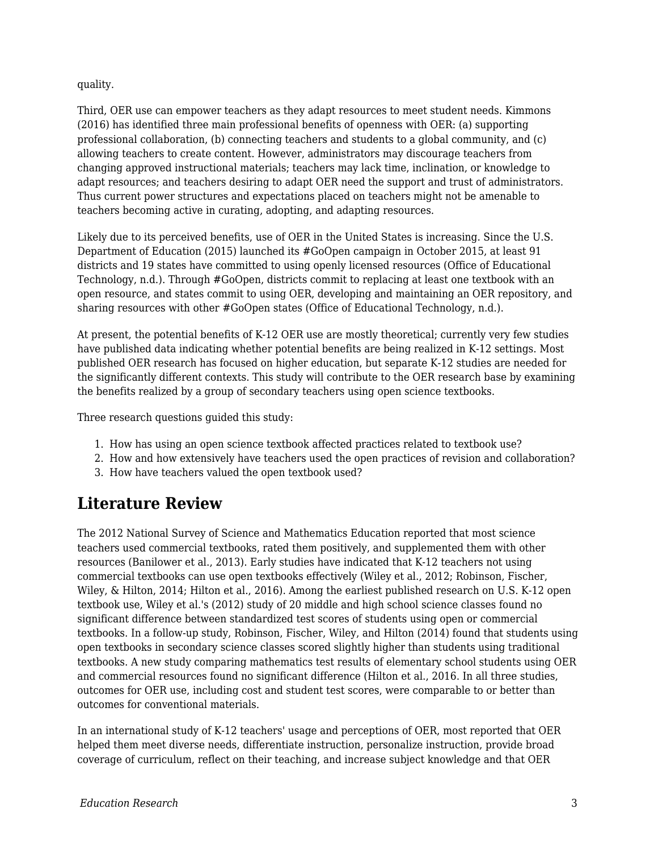#### quality.

Third, OER use can empower teachers as they adapt resources to meet student needs. Kimmons (2016) has identified three main professional benefits of openness with OER: (a) supporting professional collaboration, (b) connecting teachers and students to a global community, and (c) allowing teachers to create content. However, administrators may discourage teachers from changing approved instructional materials; teachers may lack time, inclination, or knowledge to adapt resources; and teachers desiring to adapt OER need the support and trust of administrators. Thus current power structures and expectations placed on teachers might not be amenable to teachers becoming active in curating, adopting, and adapting resources.

Likely due to its perceived benefits, use of OER in the United States is increasing. Since the U.S. Department of Education (2015) launched its #GoOpen campaign in October 2015, at least 91 districts and 19 states have committed to using openly licensed resources (Office of Educational Technology, n.d.). Through #GoOpen, districts commit to replacing at least one textbook with an open resource, and states commit to using OER, developing and maintaining an OER repository, and sharing resources with other #GoOpen states (Office of Educational Technology, n.d.).

At present, the potential benefits of K-12 OER use are mostly theoretical; currently very few studies have published data indicating whether potential benefits are being realized in K-12 settings. Most published OER research has focused on higher education, but separate K-12 studies are needed for the significantly different contexts. This study will contribute to the OER research base by examining the benefits realized by a group of secondary teachers using open science textbooks.

Three research questions guided this study:

- 1. How has using an open science textbook affected practices related to textbook use?
- 2. How and how extensively have teachers used the open practices of revision and collaboration?
- 3. How have teachers valued the open textbook used?

### **Literature Review**

The 2012 National Survey of Science and Mathematics Education reported that most science teachers used commercial textbooks, rated them positively, and supplemented them with other resources (Banilower et al., 2013). Early studies have indicated that K-12 teachers not using commercial textbooks can use open textbooks effectively (Wiley et al., 2012; Robinson, Fischer, Wiley, & Hilton, 2014; Hilton et al., 2016). Among the earliest published research on U.S. K-12 open textbook use, Wiley et al.'s (2012) study of 20 middle and high school science classes found no significant difference between standardized test scores of students using open or commercial textbooks. In a follow-up study, Robinson, Fischer, Wiley, and Hilton (2014) found that students using open textbooks in secondary science classes scored slightly higher than students using traditional textbooks. A new study comparing mathematics test results of elementary school students using OER and commercial resources found no significant difference (Hilton et al., 2016. In all three studies, outcomes for OER use, including cost and student test scores, were comparable to or better than outcomes for conventional materials.

In an international study of K-12 teachers' usage and perceptions of OER, most reported that OER helped them meet diverse needs, differentiate instruction, personalize instruction, provide broad coverage of curriculum, reflect on their teaching, and increase subject knowledge and that OER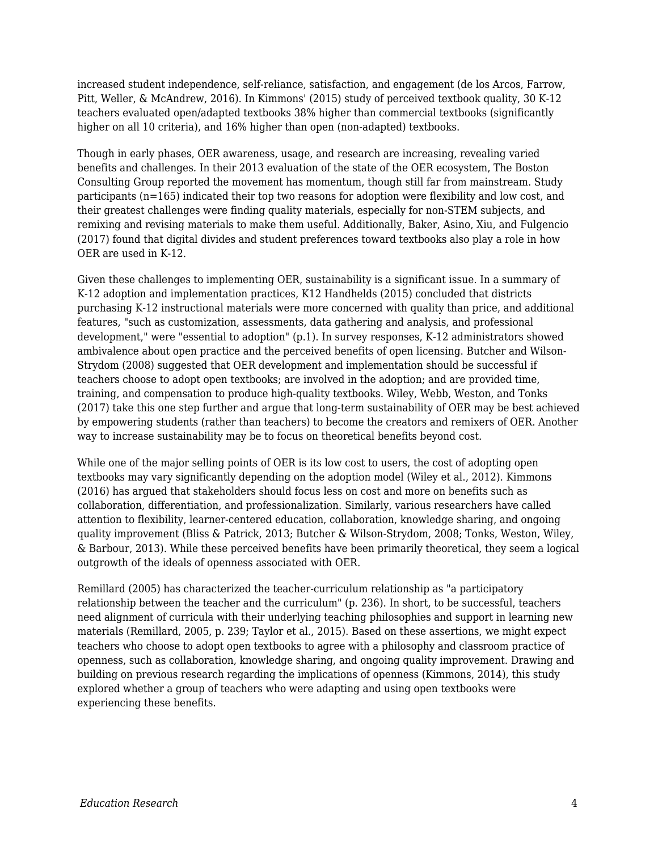increased student independence, self-reliance, satisfaction, and engagement (de los Arcos, Farrow, Pitt, Weller, & McAndrew, 2016). In Kimmons' (2015) study of perceived textbook quality, 30 K-12 teachers evaluated open/adapted textbooks 38% higher than commercial textbooks (significantly higher on all 10 criteria), and 16% higher than open (non-adapted) textbooks.

Though in early phases, OER awareness, usage, and research are increasing, revealing varied benefits and challenges. In their 2013 evaluation of the state of the OER ecosystem, The Boston Consulting Group reported the movement has momentum, though still far from mainstream. Study participants (n=165) indicated their top two reasons for adoption were flexibility and low cost, and their greatest challenges were finding quality materials, especially for non-STEM subjects, and remixing and revising materials to make them useful. Additionally, Baker, Asino, Xiu, and Fulgencio (2017) found that digital divides and student preferences toward textbooks also play a role in how OER are used in K-12.

Given these challenges to implementing OER, sustainability is a significant issue. In a summary of K-12 adoption and implementation practices, K12 Handhelds (2015) concluded that districts purchasing K-12 instructional materials were more concerned with quality than price, and additional features, "such as customization, assessments, data gathering and analysis, and professional development," were "essential to adoption" (p.1). In survey responses, K-12 administrators showed ambivalence about open practice and the perceived benefits of open licensing. Butcher and Wilson-Strydom (2008) suggested that OER development and implementation should be successful if teachers choose to adopt open textbooks; are involved in the adoption; and are provided time, training, and compensation to produce high-quality textbooks. Wiley, Webb, Weston, and Tonks (2017) take this one step further and argue that long-term sustainability of OER may be best achieved by empowering students (rather than teachers) to become the creators and remixers of OER. Another way to increase sustainability may be to focus on theoretical benefits beyond cost.

While one of the major selling points of OER is its low cost to users, the cost of adopting open textbooks may vary significantly depending on the adoption model (Wiley et al., 2012). Kimmons (2016) has argued that stakeholders should focus less on cost and more on benefits such as collaboration, differentiation, and professionalization. Similarly, various researchers have called attention to flexibility, learner-centered education, collaboration, knowledge sharing, and ongoing quality improvement (Bliss & Patrick, 2013; Butcher & Wilson-Strydom, 2008; Tonks, Weston, Wiley, & Barbour, 2013). While these perceived benefits have been primarily theoretical, they seem a logical outgrowth of the ideals of openness associated with OER.

Remillard (2005) has characterized the teacher-curriculum relationship as "a participatory relationship between the teacher and the curriculum" (p. 236). In short, to be successful, teachers need alignment of curricula with their underlying teaching philosophies and support in learning new materials (Remillard, 2005, p. 239; Taylor et al., 2015). Based on these assertions, we might expect teachers who choose to adopt open textbooks to agree with a philosophy and classroom practice of openness, such as collaboration, knowledge sharing, and ongoing quality improvement. Drawing and building on previous research regarding the implications of openness (Kimmons, 2014), this study explored whether a group of teachers who were adapting and using open textbooks were experiencing these benefits.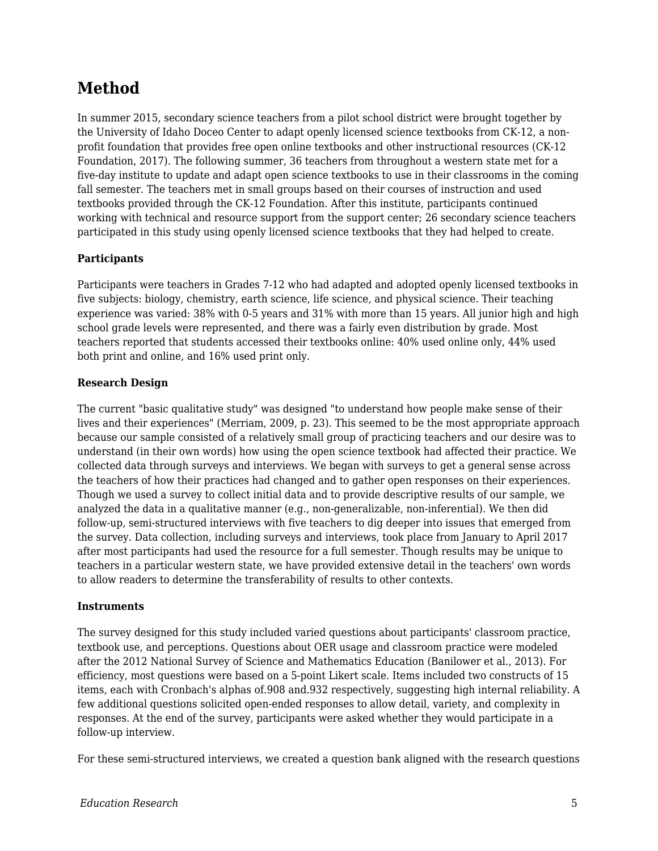## **Method**

In summer 2015, secondary science teachers from a pilot school district were brought together by the University of Idaho Doceo Center to adapt openly licensed science textbooks from CK-12, a nonprofit foundation that provides free open online textbooks and other instructional resources (CK-12 Foundation, 2017). The following summer, 36 teachers from throughout a western state met for a five-day institute to update and adapt open science textbooks to use in their classrooms in the coming fall semester. The teachers met in small groups based on their courses of instruction and used textbooks provided through the CK-12 Foundation. After this institute, participants continued working with technical and resource support from the support center; 26 secondary science teachers participated in this study using openly licensed science textbooks that they had helped to create.

### **Participants**

Participants were teachers in Grades 7-12 who had adapted and adopted openly licensed textbooks in five subjects: biology, chemistry, earth science, life science, and physical science. Their teaching experience was varied: 38% with 0-5 years and 31% with more than 15 years. All junior high and high school grade levels were represented, and there was a fairly even distribution by grade. Most teachers reported that students accessed their textbooks online: 40% used online only, 44% used both print and online, and 16% used print only.

### **Research Design**

The current "basic qualitative study" was designed "to understand how people make sense of their lives and their experiences" (Merriam, 2009, p. 23). This seemed to be the most appropriate approach because our sample consisted of a relatively small group of practicing teachers and our desire was to understand (in their own words) how using the open science textbook had affected their practice. We collected data through surveys and interviews. We began with surveys to get a general sense across the teachers of how their practices had changed and to gather open responses on their experiences. Though we used a survey to collect initial data and to provide descriptive results of our sample, we analyzed the data in a qualitative manner (e.g., non-generalizable, non-inferential). We then did follow-up, semi-structured interviews with five teachers to dig deeper into issues that emerged from the survey. Data collection, including surveys and interviews, took place from January to April 2017 after most participants had used the resource for a full semester. Though results may be unique to teachers in a particular western state, we have provided extensive detail in the teachers' own words to allow readers to determine the transferability of results to other contexts.

#### **Instruments**

The survey designed for this study included varied questions about participants' classroom practice, textbook use, and perceptions. Questions about OER usage and classroom practice were modeled after the 2012 National Survey of Science and Mathematics Education (Banilower et al., 2013). For efficiency, most questions were based on a 5-point Likert scale. Items included two constructs of 15 items, each with Cronbach's alphas of.908 and.932 respectively, suggesting high internal reliability. A few additional questions solicited open-ended responses to allow detail, variety, and complexity in responses. At the end of the survey, participants were asked whether they would participate in a follow-up interview.

For these semi-structured interviews, we created a question bank aligned with the research questions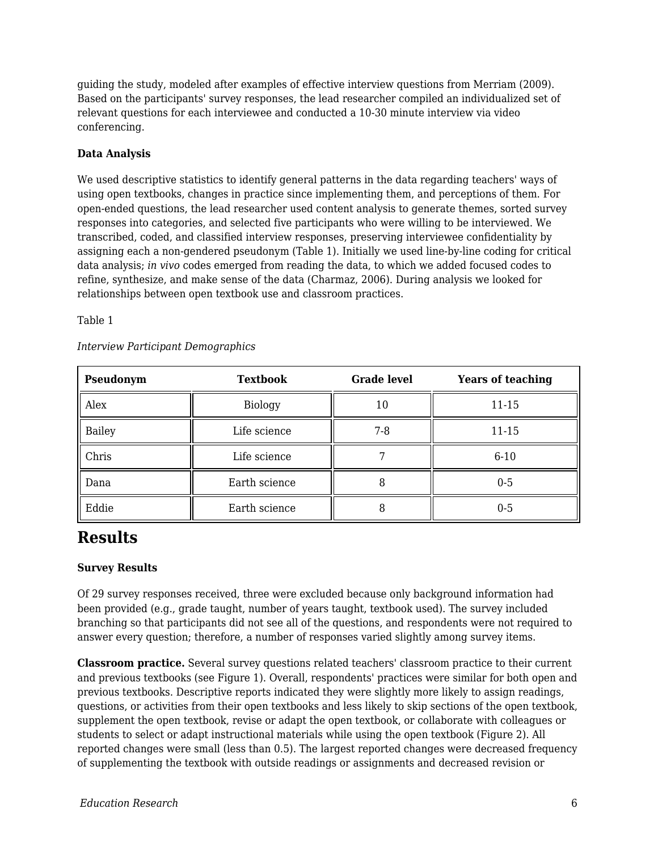guiding the study, modeled after examples of effective interview questions from Merriam (2009). Based on the participants' survey responses, the lead researcher compiled an individualized set of relevant questions for each interviewee and conducted a 10-30 minute interview via video conferencing.

#### **Data Analysis**

We used descriptive statistics to identify general patterns in the data regarding teachers' ways of using open textbooks, changes in practice since implementing them, and perceptions of them. For open-ended questions, the lead researcher used content analysis to generate themes, sorted survey responses into categories, and selected five participants who were willing to be interviewed. We transcribed, coded, and classified interview responses, preserving interviewee confidentiality by assigning each a non-gendered pseudonym (Table 1). Initially we used line-by-line coding for critical data analysis; *in vivo* codes emerged from reading the data, to which we added focused codes to refine, synthesize, and make sense of the data (Charmaz, 2006). During analysis we looked for relationships between open textbook use and classroom practices.

Table 1

| Pseudonym | <b>Textbook</b> | <b>Grade level</b> | <b>Years of teaching</b> |
|-----------|-----------------|--------------------|--------------------------|
| Alex      | <b>Biology</b>  | 10                 | 11-15                    |
| Bailey    | Life science    | $7 - 8$            | 11-15                    |
| Chris     | Life science    |                    | $6 - 10$                 |
| Dana      | Earth science   | 8                  | $0-5$                    |
| Eddie     | Earth science   | 8                  | $0-5$                    |

#### *Interview Participant Demographics*

### **Results**

#### **Survey Results**

Of 29 survey responses received, three were excluded because only background information had been provided (e.g., grade taught, number of years taught, textbook used). The survey included branching so that participants did not see all of the questions, and respondents were not required to answer every question; therefore, a number of responses varied slightly among survey items.

**Classroom practice.** Several survey questions related teachers' classroom practice to their current and previous textbooks (see Figure 1). Overall, respondents' practices were similar for both open and previous textbooks. Descriptive reports indicated they were slightly more likely to assign readings, questions, or activities from their open textbooks and less likely to skip sections of the open textbook, supplement the open textbook, revise or adapt the open textbook, or collaborate with colleagues or students to select or adapt instructional materials while using the open textbook (Figure 2). All reported changes were small (less than 0.5). The largest reported changes were decreased frequency of supplementing the textbook with outside readings or assignments and decreased revision or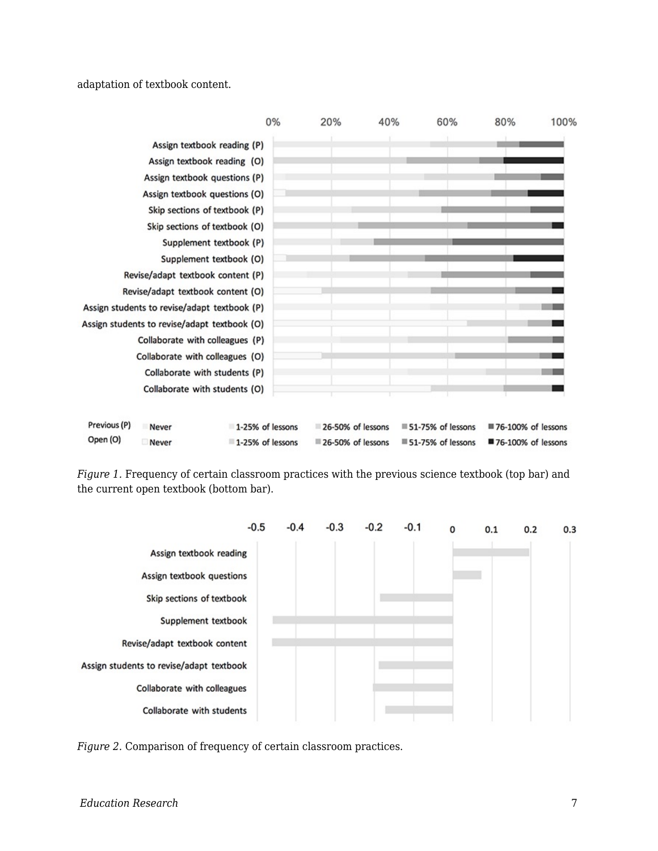adaptation of textbook content.



*Figure 1.* Frequency of certain classroom practices with the previous science textbook (top bar) and the current open textbook (bottom bar).



*Figure 2.* Comparison of frequency of certain classroom practices.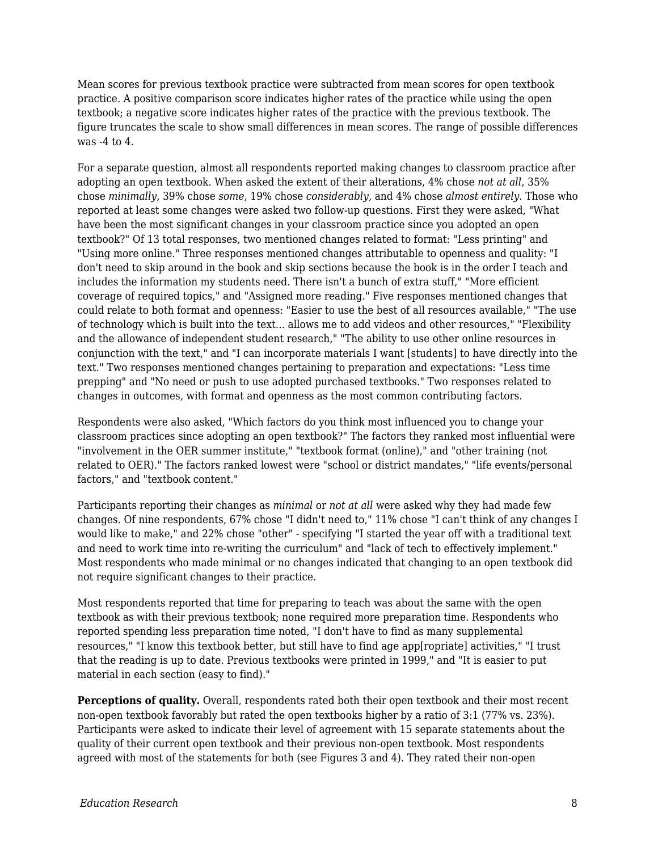Mean scores for previous textbook practice were subtracted from mean scores for open textbook practice. A positive comparison score indicates higher rates of the practice while using the open textbook; a negative score indicates higher rates of the practice with the previous textbook. The figure truncates the scale to show small differences in mean scores. The range of possible differences was -4 to 4.

For a separate question, almost all respondents reported making changes to classroom practice after adopting an open textbook. When asked the extent of their alterations, 4% chose *not at all*, 35% chose *minimally*, 39% chose *some*, 19% chose *considerably*, and 4% chose *almost entirely*. Those who reported at least some changes were asked two follow-up questions. First they were asked, "What have been the most significant changes in your classroom practice since you adopted an open textbook?" Of 13 total responses, two mentioned changes related to format: "Less printing" and "Using more online." Three responses mentioned changes attributable to openness and quality: "I don't need to skip around in the book and skip sections because the book is in the order I teach and includes the information my students need. There isn't a bunch of extra stuff," "More efficient coverage of required topics," and "Assigned more reading." Five responses mentioned changes that could relate to both format and openness: "Easier to use the best of all resources available," "The use of technology which is built into the text... allows me to add videos and other resources," "Flexibility and the allowance of independent student research," "The ability to use other online resources in conjunction with the text," and "I can incorporate materials I want [students] to have directly into the text." Two responses mentioned changes pertaining to preparation and expectations: "Less time prepping" and "No need or push to use adopted purchased textbooks." Two responses related to changes in outcomes, with format and openness as the most common contributing factors.

Respondents were also asked, "Which factors do you think most influenced you to change your classroom practices since adopting an open textbook?" The factors they ranked most influential were "involvement in the OER summer institute," "textbook format (online)," and "other training (not related to OER)." The factors ranked lowest were "school or district mandates," "life events/personal factors," and "textbook content."

Participants reporting their changes as *minimal* or *not at all* were asked why they had made few changes. Of nine respondents, 67% chose "I didn't need to," 11% chose "I can't think of any changes I would like to make," and 22% chose "other" - specifying "I started the year off with a traditional text and need to work time into re-writing the curriculum" and "lack of tech to effectively implement." Most respondents who made minimal or no changes indicated that changing to an open textbook did not require significant changes to their practice.

Most respondents reported that time for preparing to teach was about the same with the open textbook as with their previous textbook; none required more preparation time. Respondents who reported spending less preparation time noted, "I don't have to find as many supplemental resources," "I know this textbook better, but still have to find age app[ropriate] activities," "I trust that the reading is up to date. Previous textbooks were printed in 1999," and "It is easier to put material in each section (easy to find)."

**Perceptions of quality.** Overall, respondents rated both their open textbook and their most recent non-open textbook favorably but rated the open textbooks higher by a ratio of 3:1 (77% vs. 23%). Participants were asked to indicate their level of agreement with 15 separate statements about the quality of their current open textbook and their previous non-open textbook. Most respondents agreed with most of the statements for both (see Figures 3 and 4). They rated their non-open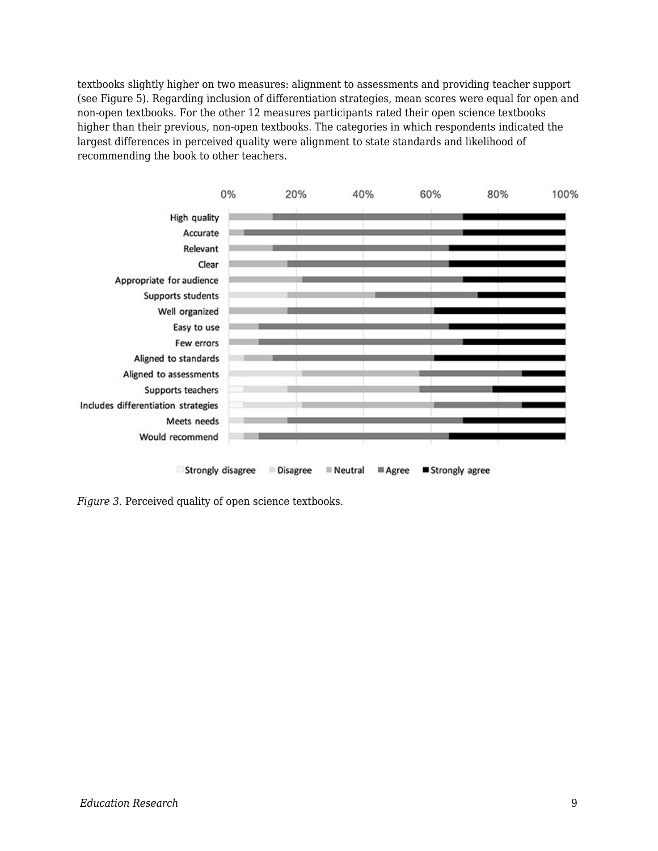textbooks slightly higher on two measures: alignment to assessments and providing teacher support (see Figure 5). Regarding inclusion of differentiation strategies, mean scores were equal for open and non-open textbooks. For the other 12 measures participants rated their open science textbooks higher than their previous, non-open textbooks. The categories in which respondents indicated the largest differences in perceived quality were alignment to state standards and likelihood of recommending the book to other teachers.



*Figure 3.* Perceived quality of open science textbooks.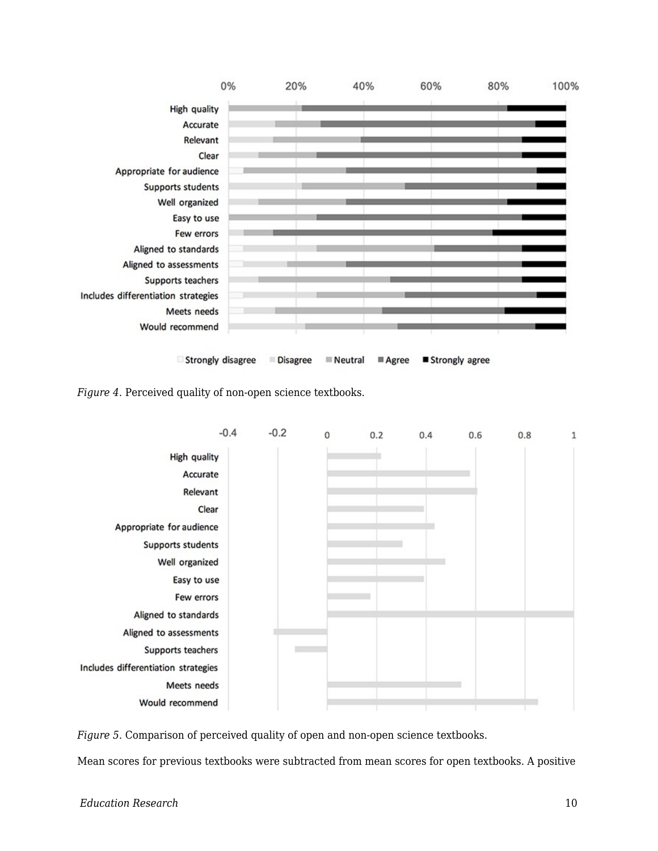

*Figure 4.* Perceived quality of non-open science textbooks.



*Figure 5.* Comparison of perceived quality of open and non-open science textbooks.

Mean scores for previous textbooks were subtracted from mean scores for open textbooks. A positive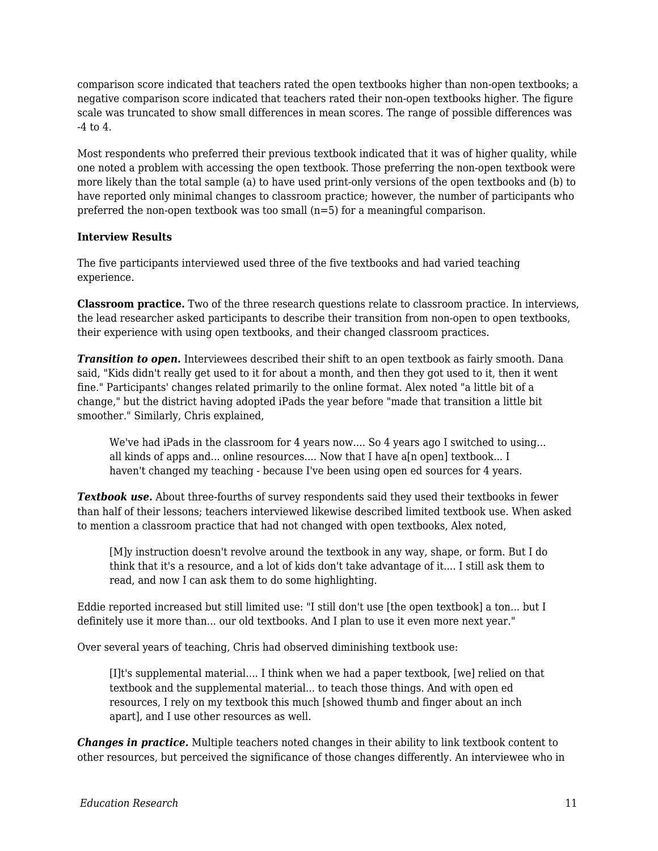comparison score indicated that teachers rated the open textbooks higher than non-open textbooks; a negative comparison score indicated that teachers rated their non-open textbooks higher. The figure scale was truncated to show small differences in mean scores. The range of possible differences was -4 to 4.

Most respondents who preferred their previous textbook indicated that it was of higher quality, while one noted a problem with accessing the open textbook. Those preferring the non-open textbook were more likely than the total sample (a) to have used print-only versions of the open textbooks and (b) to have reported only minimal changes to classroom practice; however, the number of participants who preferred the non-open textbook was too small  $(n=5)$  for a meaningful comparison.

#### **Interview Results**

The five participants interviewed used three of the five textbooks and had varied teaching experience.

**Classroom practice.** Two of the three research questions relate to classroom practice. In interviews, the lead researcher asked participants to describe their transition from non-open to open textbooks, their experience with using open textbooks, and their changed classroom practices.

*Transition to open.* Interviewees described their shift to an open textbook as fairly smooth. Dana said, "Kids didn't really get used to it for about a month, and then they got used to it, then it went fine." Participants' changes related primarily to the online format. Alex noted "a little bit of a change," but the district having adopted iPads the year before "made that transition a little bit smoother." Similarly, Chris explained,

We've had iPads in the classroom for 4 years now.... So 4 years ago I switched to using... all kinds of apps and... online resources.... Now that I have a[n open] textbook... I haven't changed my teaching - because I've been using open ed sources for 4 years.

**Textbook use.** About three-fourths of survey respondents said they used their textbooks in fewer than half of their lessons; teachers interviewed likewise described limited textbook use. When asked to mention a classroom practice that had not changed with open textbooks, Alex noted,

[M]y instruction doesn't revolve around the textbook in any way, shape, or form. But I do think that it's a resource, and a lot of kids don't take advantage of it.... I still ask them to read, and now I can ask them to do some highlighting.

Eddie reported increased but still limited use: "I still don't use [the open textbook] a ton... but I definitely use it more than... our old textbooks. And I plan to use it even more next year."

Over several years of teaching, Chris had observed diminishing textbook use:

[I]t's supplemental material.... I think when we had a paper textbook, [we] relied on that textbook and the supplemental material... to teach those things. And with open ed resources, I rely on my textbook this much [showed thumb and finger about an inch apart], and I use other resources as well.

*Changes in practice.* Multiple teachers noted changes in their ability to link textbook content to other resources, but perceived the significance of those changes differently. An interviewee who in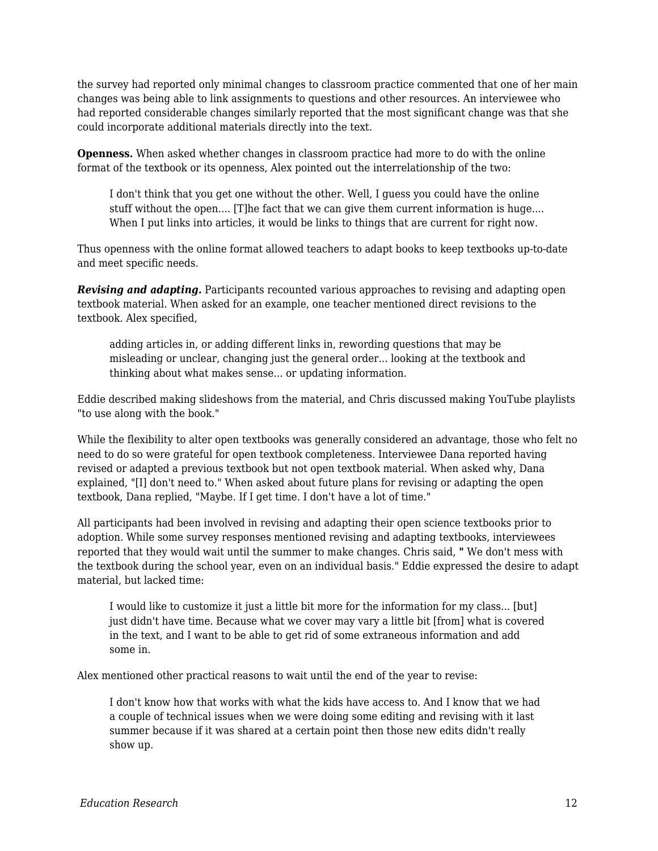the survey had reported only minimal changes to classroom practice commented that one of her main changes was being able to link assignments to questions and other resources. An interviewee who had reported considerable changes similarly reported that the most significant change was that she could incorporate additional materials directly into the text.

**Openness.** When asked whether changes in classroom practice had more to do with the online format of the textbook or its openness, Alex pointed out the interrelationship of the two:

I don't think that you get one without the other. Well, I guess you could have the online stuff without the open.... [T]he fact that we can give them current information is huge.... When I put links into articles, it would be links to things that are current for right now.

Thus openness with the online format allowed teachers to adapt books to keep textbooks up-to-date and meet specific needs.

*Revising and adapting.* Participants recounted various approaches to revising and adapting open textbook material. When asked for an example, one teacher mentioned direct revisions to the textbook. Alex specified,

adding articles in, or adding different links in, rewording questions that may be misleading or unclear, changing just the general order... looking at the textbook and thinking about what makes sense... or updating information.

Eddie described making slideshows from the material, and Chris discussed making YouTube playlists "to use along with the book."

While the flexibility to alter open textbooks was generally considered an advantage, those who felt no need to do so were grateful for open textbook completeness. Interviewee Dana reported having revised or adapted a previous textbook but not open textbook material. When asked why, Dana explained, "[I] don't need to." When asked about future plans for revising or adapting the open textbook, Dana replied, "Maybe. If I get time. I don't have a lot of time."

All participants had been involved in revising and adapting their open science textbooks prior to adoption. While some survey responses mentioned revising and adapting textbooks, interviewees reported that they would wait until the summer to make changes. Chris said, *"* We don't mess with the textbook during the school year, even on an individual basis." Eddie expressed the desire to adapt material, but lacked time:

I would like to customize it just a little bit more for the information for my class... [but] just didn't have time. Because what we cover may vary a little bit [from] what is covered in the text, and I want to be able to get rid of some extraneous information and add some in.

Alex mentioned other practical reasons to wait until the end of the year to revise:

I don't know how that works with what the kids have access to. And I know that we had a couple of technical issues when we were doing some editing and revising with it last summer because if it was shared at a certain point then those new edits didn't really show up.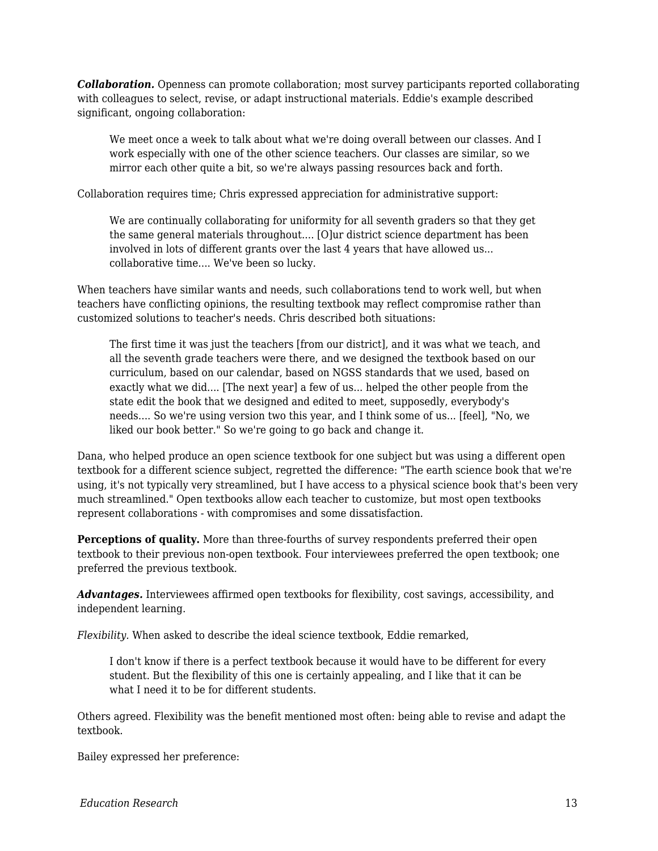*Collaboration.* Openness can promote collaboration; most survey participants reported collaborating with colleagues to select, revise, or adapt instructional materials. Eddie's example described significant, ongoing collaboration:

We meet once a week to talk about what we're doing overall between our classes. And I work especially with one of the other science teachers. Our classes are similar, so we mirror each other quite a bit, so we're always passing resources back and forth.

Collaboration requires time; Chris expressed appreciation for administrative support:

We are continually collaborating for uniformity for all seventh graders so that they get the same general materials throughout.... [O]ur district science department has been involved in lots of different grants over the last 4 years that have allowed us... collaborative time.... We've been so lucky.

When teachers have similar wants and needs, such collaborations tend to work well, but when teachers have conflicting opinions, the resulting textbook may reflect compromise rather than customized solutions to teacher's needs. Chris described both situations:

The first time it was just the teachers [from our district], and it was what we teach, and all the seventh grade teachers were there, and we designed the textbook based on our curriculum, based on our calendar, based on NGSS standards that we used, based on exactly what we did.... [The next year] a few of us... helped the other people from the state edit the book that we designed and edited to meet, supposedly, everybody's needs.... So we're using version two this year, and I think some of us... [feel], "No, we liked our book better." So we're going to go back and change it.

Dana, who helped produce an open science textbook for one subject but was using a different open textbook for a different science subject, regretted the difference: "The earth science book that we're using, it's not typically very streamlined, but I have access to a physical science book that's been very much streamlined." Open textbooks allow each teacher to customize, but most open textbooks represent collaborations - with compromises and some dissatisfaction.

**Perceptions of quality.** More than three-fourths of survey respondents preferred their open textbook to their previous non-open textbook. Four interviewees preferred the open textbook; one preferred the previous textbook.

*Advantages.* Interviewees affirmed open textbooks for flexibility, cost savings, accessibility, and independent learning.

*Flexibility.* When asked to describe the ideal science textbook, Eddie remarked,

I don't know if there is a perfect textbook because it would have to be different for every student. But the flexibility of this one is certainly appealing, and I like that it can be what I need it to be for different students.

Others agreed. Flexibility was the benefit mentioned most often: being able to revise and adapt the textbook.

Bailey expressed her preference: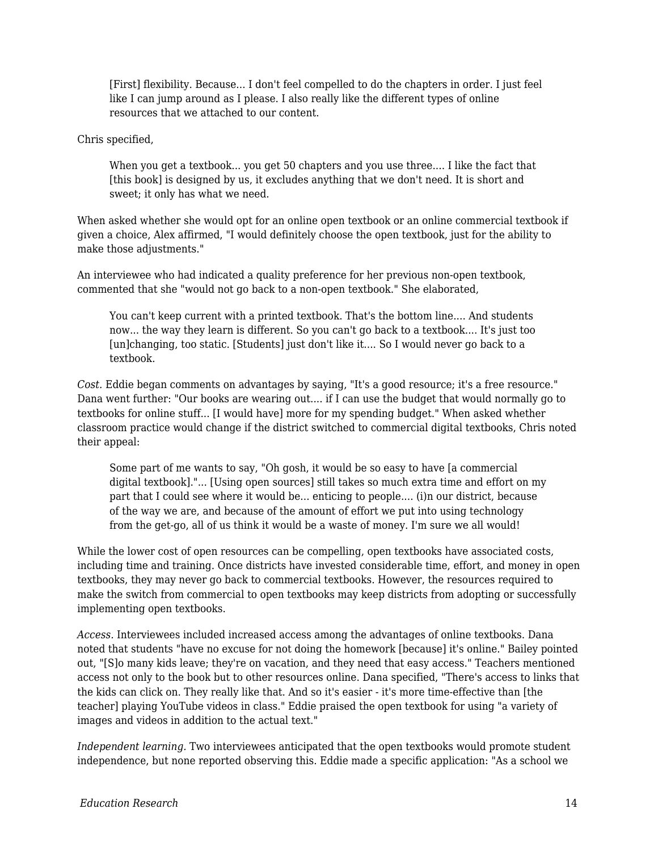[First] flexibility. Because... I don't feel compelled to do the chapters in order. I just feel like I can jump around as I please. I also really like the different types of online resources that we attached to our content.

Chris specified,

When you get a textbook... you get 50 chapters and you use three.... I like the fact that [this book] is designed by us, it excludes anything that we don't need. It is short and sweet; it only has what we need.

When asked whether she would opt for an online open textbook or an online commercial textbook if given a choice, Alex affirmed, "I would definitely choose the open textbook, just for the ability to make those adjustments."

An interviewee who had indicated a quality preference for her previous non-open textbook, commented that she "would not go back to a non-open textbook." She elaborated,

You can't keep current with a printed textbook. That's the bottom line.... And students now... the way they learn is different. So you can't go back to a textbook.... It's just too [un]changing, too static. [Students] just don't like it.... So I would never go back to a textbook.

*Cost.* Eddie began comments on advantages by saying, "It's a good resource; it's a free resource." Dana went further: "Our books are wearing out.... if I can use the budget that would normally go to textbooks for online stuff... [I would have] more for my spending budget." When asked whether classroom practice would change if the district switched to commercial digital textbooks, Chris noted their appeal:

Some part of me wants to say, "Oh gosh, it would be so easy to have [a commercial digital textbook]."... [Using open sources] still takes so much extra time and effort on my part that I could see where it would be... enticing to people.... (i)n our district, because of the way we are, and because of the amount of effort we put into using technology from the get-go, all of us think it would be a waste of money. I'm sure we all would!

While the lower cost of open resources can be compelling, open textbooks have associated costs, including time and training. Once districts have invested considerable time, effort, and money in open textbooks, they may never go back to commercial textbooks. However, the resources required to make the switch from commercial to open textbooks may keep districts from adopting or successfully implementing open textbooks.

*Access.* Interviewees included increased access among the advantages of online textbooks. Dana noted that students "have no excuse for not doing the homework [because] it's online." Bailey pointed out, "[S]o many kids leave; they're on vacation, and they need that easy access." Teachers mentioned access not only to the book but to other resources online. Dana specified, "There's access to links that the kids can click on. They really like that. And so it's easier - it's more time-effective than [the teacher] playing YouTube videos in class." Eddie praised the open textbook for using "a variety of images and videos in addition to the actual text."

*Independent learning.* Two interviewees anticipated that the open textbooks would promote student independence, but none reported observing this. Eddie made a specific application: "As a school we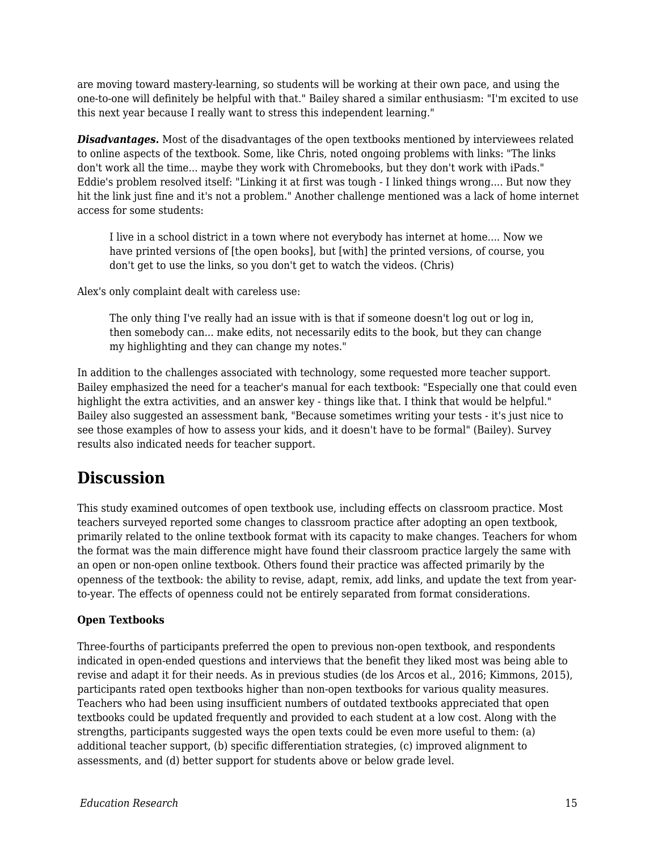are moving toward mastery-learning, so students will be working at their own pace, and using the one-to-one will definitely be helpful with that." Bailey shared a similar enthusiasm: "I'm excited to use this next year because I really want to stress this independent learning."

*Disadvantages.* Most of the disadvantages of the open textbooks mentioned by interviewees related to online aspects of the textbook. Some, like Chris, noted ongoing problems with links: "The links don't work all the time... maybe they work with Chromebooks, but they don't work with iPads." Eddie's problem resolved itself: "Linking it at first was tough - I linked things wrong.... But now they hit the link just fine and it's not a problem." Another challenge mentioned was a lack of home internet access for some students:

I live in a school district in a town where not everybody has internet at home.... Now we have printed versions of [the open books], but [with] the printed versions, of course, you don't get to use the links, so you don't get to watch the videos. (Chris)

Alex's only complaint dealt with careless use:

The only thing I've really had an issue with is that if someone doesn't log out or log in, then somebody can... make edits, not necessarily edits to the book, but they can change my highlighting and they can change my notes."

In addition to the challenges associated with technology, some requested more teacher support. Bailey emphasized the need for a teacher's manual for each textbook: "Especially one that could even highlight the extra activities, and an answer key - things like that. I think that would be helpful." Bailey also suggested an assessment bank, "Because sometimes writing your tests - it's just nice to see those examples of how to assess your kids, and it doesn't have to be formal" (Bailey). Survey results also indicated needs for teacher support.

### **Discussion**

This study examined outcomes of open textbook use, including effects on classroom practice. Most teachers surveyed reported some changes to classroom practice after adopting an open textbook, primarily related to the online textbook format with its capacity to make changes. Teachers for whom the format was the main difference might have found their classroom practice largely the same with an open or non-open online textbook. Others found their practice was affected primarily by the openness of the textbook: the ability to revise, adapt, remix, add links, and update the text from yearto-year. The effects of openness could not be entirely separated from format considerations.

### **Open Textbooks**

Three-fourths of participants preferred the open to previous non-open textbook, and respondents indicated in open-ended questions and interviews that the benefit they liked most was being able to revise and adapt it for their needs. As in previous studies (de los Arcos et al., 2016; Kimmons, 2015), participants rated open textbooks higher than non-open textbooks for various quality measures. Teachers who had been using insufficient numbers of outdated textbooks appreciated that open textbooks could be updated frequently and provided to each student at a low cost. Along with the strengths, participants suggested ways the open texts could be even more useful to them: (a) additional teacher support, (b) specific differentiation strategies, (c) improved alignment to assessments, and (d) better support for students above or below grade level.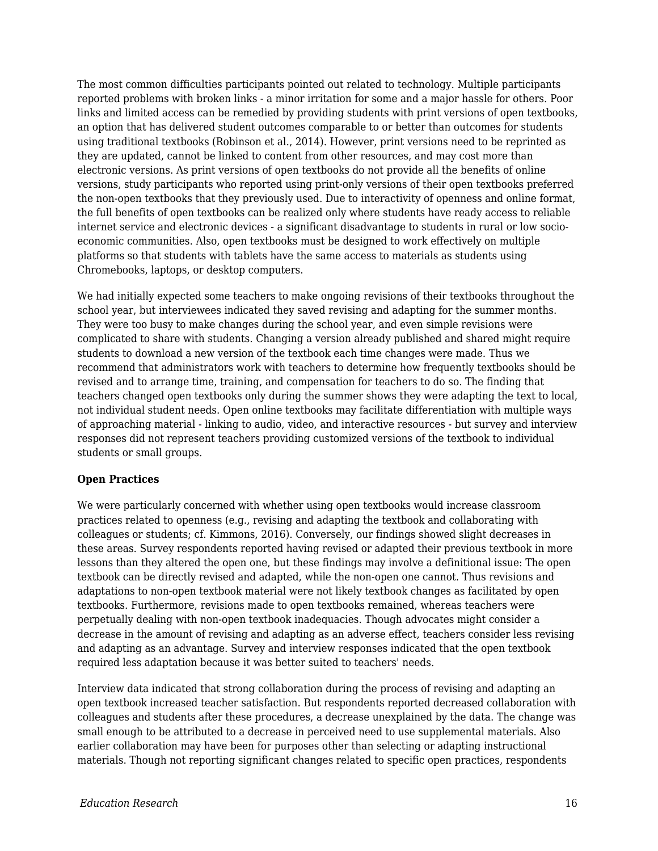The most common difficulties participants pointed out related to technology. Multiple participants reported problems with broken links - a minor irritation for some and a major hassle for others. Poor links and limited access can be remedied by providing students with print versions of open textbooks, an option that has delivered student outcomes comparable to or better than outcomes for students using traditional textbooks (Robinson et al., 2014). However, print versions need to be reprinted as they are updated, cannot be linked to content from other resources, and may cost more than electronic versions. As print versions of open textbooks do not provide all the benefits of online versions, study participants who reported using print-only versions of their open textbooks preferred the non-open textbooks that they previously used. Due to interactivity of openness and online format, the full benefits of open textbooks can be realized only where students have ready access to reliable internet service and electronic devices - a significant disadvantage to students in rural or low socioeconomic communities. Also, open textbooks must be designed to work effectively on multiple platforms so that students with tablets have the same access to materials as students using Chromebooks, laptops, or desktop computers.

We had initially expected some teachers to make ongoing revisions of their textbooks throughout the school year, but interviewees indicated they saved revising and adapting for the summer months. They were too busy to make changes during the school year, and even simple revisions were complicated to share with students. Changing a version already published and shared might require students to download a new version of the textbook each time changes were made. Thus we recommend that administrators work with teachers to determine how frequently textbooks should be revised and to arrange time, training, and compensation for teachers to do so. The finding that teachers changed open textbooks only during the summer shows they were adapting the text to local, not individual student needs. Open online textbooks may facilitate differentiation with multiple ways of approaching material - linking to audio, video, and interactive resources - but survey and interview responses did not represent teachers providing customized versions of the textbook to individual students or small groups.

#### **Open Practices**

We were particularly concerned with whether using open textbooks would increase classroom practices related to openness (e.g., revising and adapting the textbook and collaborating with colleagues or students; cf. Kimmons, 2016). Conversely, our findings showed slight decreases in these areas. Survey respondents reported having revised or adapted their previous textbook in more lessons than they altered the open one, but these findings may involve a definitional issue: The open textbook can be directly revised and adapted, while the non-open one cannot. Thus revisions and adaptations to non-open textbook material were not likely textbook changes as facilitated by open textbooks. Furthermore, revisions made to open textbooks remained, whereas teachers were perpetually dealing with non-open textbook inadequacies. Though advocates might consider a decrease in the amount of revising and adapting as an adverse effect, teachers consider less revising and adapting as an advantage. Survey and interview responses indicated that the open textbook required less adaptation because it was better suited to teachers' needs.

Interview data indicated that strong collaboration during the process of revising and adapting an open textbook increased teacher satisfaction. But respondents reported decreased collaboration with colleagues and students after these procedures, a decrease unexplained by the data. The change was small enough to be attributed to a decrease in perceived need to use supplemental materials. Also earlier collaboration may have been for purposes other than selecting or adapting instructional materials. Though not reporting significant changes related to specific open practices, respondents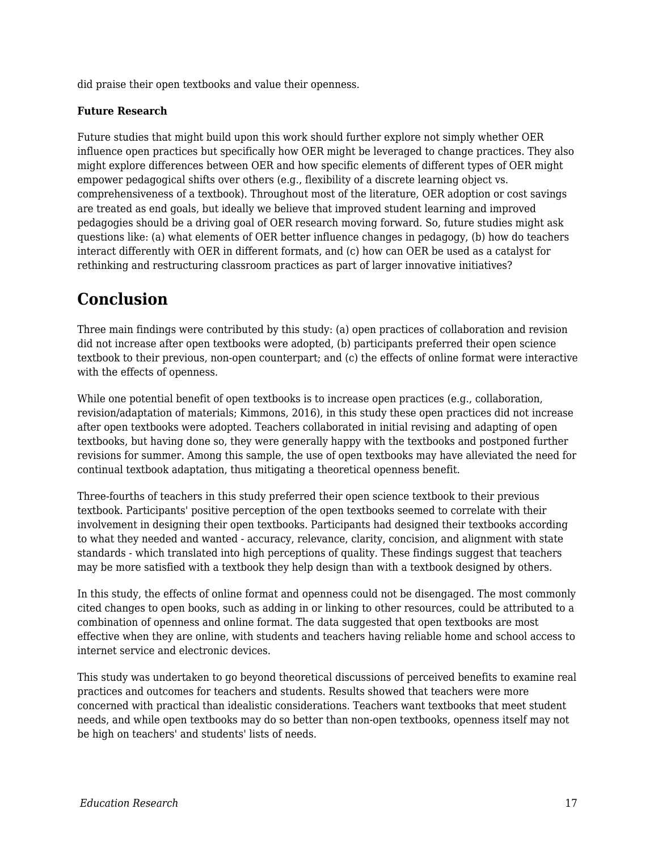did praise their open textbooks and value their openness.

#### **Future Research**

Future studies that might build upon this work should further explore not simply whether OER influence open practices but specifically how OER might be leveraged to change practices. They also might explore differences between OER and how specific elements of different types of OER might empower pedagogical shifts over others (e.g., flexibility of a discrete learning object vs. comprehensiveness of a textbook). Throughout most of the literature, OER adoption or cost savings are treated as end goals, but ideally we believe that improved student learning and improved pedagogies should be a driving goal of OER research moving forward. So, future studies might ask questions like: (a) what elements of OER better influence changes in pedagogy, (b) how do teachers interact differently with OER in different formats, and (c) how can OER be used as a catalyst for rethinking and restructuring classroom practices as part of larger innovative initiatives?

### **Conclusion**

Three main findings were contributed by this study: (a) open practices of collaboration and revision did not increase after open textbooks were adopted, (b) participants preferred their open science textbook to their previous, non-open counterpart; and (c) the effects of online format were interactive with the effects of openness.

While one potential benefit of open textbooks is to increase open practices (e.g., collaboration, revision/adaptation of materials; Kimmons, 2016), in this study these open practices did not increase after open textbooks were adopted. Teachers collaborated in initial revising and adapting of open textbooks, but having done so, they were generally happy with the textbooks and postponed further revisions for summer. Among this sample, the use of open textbooks may have alleviated the need for continual textbook adaptation, thus mitigating a theoretical openness benefit.

Three-fourths of teachers in this study preferred their open science textbook to their previous textbook. Participants' positive perception of the open textbooks seemed to correlate with their involvement in designing their open textbooks. Participants had designed their textbooks according to what they needed and wanted - accuracy, relevance, clarity, concision, and alignment with state standards - which translated into high perceptions of quality. These findings suggest that teachers may be more satisfied with a textbook they help design than with a textbook designed by others.

In this study, the effects of online format and openness could not be disengaged. The most commonly cited changes to open books, such as adding in or linking to other resources, could be attributed to a combination of openness and online format. The data suggested that open textbooks are most effective when they are online, with students and teachers having reliable home and school access to internet service and electronic devices.

This study was undertaken to go beyond theoretical discussions of perceived benefits to examine real practices and outcomes for teachers and students. Results showed that teachers were more concerned with practical than idealistic considerations. Teachers want textbooks that meet student needs, and while open textbooks may do so better than non-open textbooks, openness itself may not be high on teachers' and students' lists of needs.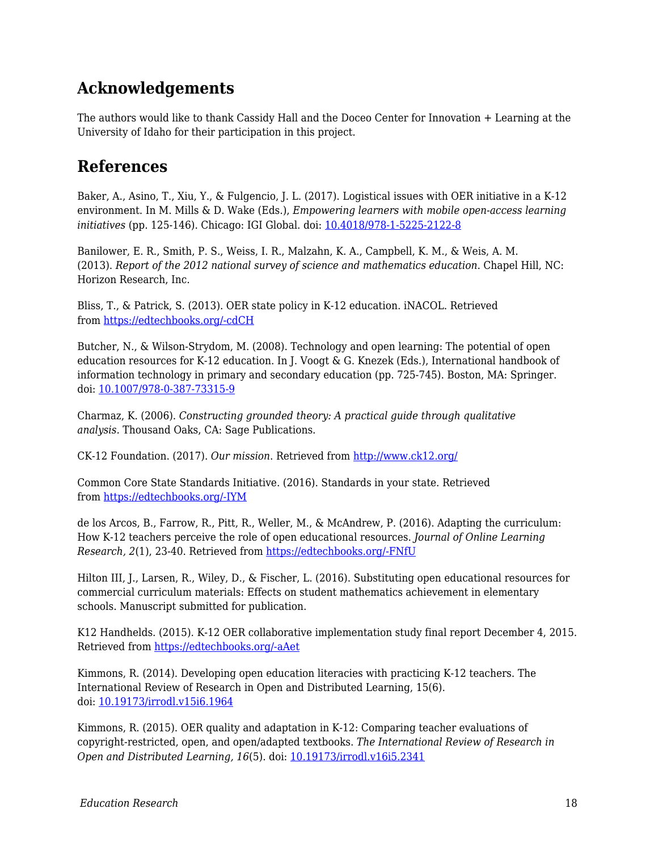## **Acknowledgements**

The authors would like to thank Cassidy Hall and the Doceo Center for Innovation + Learning at the University of Idaho for their participation in this project.

### **References**

Baker, A., Asino, T., Xiu, Y., & Fulgencio, J. L. (2017). Logistical issues with OER initiative in a K-12 environment. In M. Mills & D. Wake (Eds.), *Empowering learners with mobile open-access learning initiatives* (pp. 125-146). Chicago: IGI Global. doi: [10.4018/978-1-5225-2122-8](http://doi.org/10.4018/978-1-5225-2122-8)

Banilower, E. R., Smith, P. S., Weiss, I. R., Malzahn, K. A., Campbell, K. M., & Weis, A. M. (2013). *Report of the 2012 national survey of science and mathematics education*. Chapel Hill, NC: Horizon Research, Inc.

Bliss, T., & Patrick, S. (2013). OER state policy in K-12 education. iNACOL. Retrieved from [https://edtechbooks.org/-cdCH](http://www.inacol.org/resource/oer-state-policy-in-k-12-education-benefits-strategies-and-recommendations-for-open-access-open-sharing/)

Butcher, N., & Wilson-Strydom, M. (2008). Technology and open learning: The potential of open education resources for K-12 education. In J. Voogt & G. Knezek (Eds.), International handbook of information technology in primary and secondary education (pp. 725-745). Boston, MA: Springer. doi: [10.1007/978-0-387-73315-9](http://doi.org/10.1007/978-0-387-73315-9)

Charmaz, K. (2006). *Constructing grounded theory: A practical guide through qualitative analysis.* Thousand Oaks, CA: Sage Publications.

CK-12 Foundation. (2017). *Our mission*. Retrieved from <http://www.ck12.org/>

Common Core State Standards Initiative. (2016). Standards in your state. Retrieved from [https://edtechbooks.org/-IYM](http://www.corestandards.org/standards-in-your-state/)

de los Arcos, B., Farrow, R., Pitt, R., Weller, M., & McAndrew, P. (2016). Adapting the curriculum: How K-12 teachers perceive the role of open educational resources. *Journal of Online Learning Research, 2*(1), 23-40. Retrieved from [https://edtechbooks.org/-FNfU](https://www.learntechlib.org/primary/p/151664/)

Hilton III, J., Larsen, R., Wiley, D., & Fischer, L. (2016). Substituting open educational resources for commercial curriculum materials: Effects on student mathematics achievement in elementary schools. Manuscript submitted for publication.

K12 Handhelds. (2015). K-12 OER collaborative implementation study final report December 4, 2015. Retrieved from [https://edtechbooks.org/-aAet](http://www.k12opened.com/blog/wp-content/uploads/K12HH-Final-Report-Dec-2015.pdf)

Kimmons, R. (2014). Developing open education literacies with practicing K-12 teachers. The International Review of Research in Open and Distributed Learning, 15(6). doi: [10.19173/irrodl.v15i6.1964](http://doi.org/10.19173/irrodl.v15i6.1964)

Kimmons, R. (2015). OER quality and adaptation in K-12: Comparing teacher evaluations of copyright-restricted, open, and open/adapted textbooks. *The International Review of Research in Open and Distributed Learning, 16*(5). doi: [10.19173/irrodl.v16i5.2341](http://doi.org/10.19173/irrodl.v16i5.2341)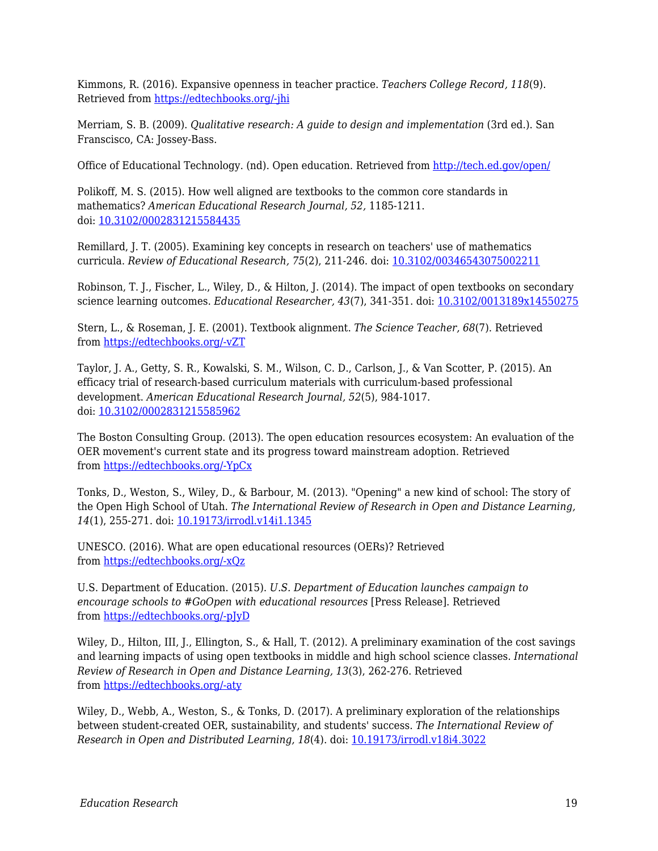Kimmons, R. (2016). Expansive openness in teacher practice. *Teachers College Record, 118*(9). Retrieved from [https://edtechbooks.org/-jhi](http://www.tcrecord.org.erl.lib.byu.edu/library/)

Merriam, S. B. (2009). *Qualitative research: A guide to design and implementation* (3rd ed.). San Franscisco, CA: Jossey-Bass.

Office of Educational Technology. (nd). Open education. Retrieved from<http://tech.ed.gov/open/>

Polikoff, M. S. (2015). How well aligned are textbooks to the common core standards in mathematics? *American Educational Research Journal, 52,* 1185-1211. doi: [10.3102/0002831215584435](http://doi.org/10.3102/0002831215584435)

Remillard, J. T. (2005). Examining key concepts in research on teachers' use of mathematics curricula. *Review of Educational Research, 75*(2), 211-246. doi: [10.3102/00346543075002211](http://doi.org/10.3102/00346543075002211)

Robinson, T. J., Fischer, L., Wiley, D., & Hilton, J. (2014). The impact of open textbooks on secondary science learning outcomes. *Educational Researcher, 43*(7), 341-351. doi: [10.3102/0013189x14550275](http://doi.org/10.3102/0013189x14550275)

Stern, L., & Roseman, J. E. (2001). Textbook alignment. *The Science Teacher, 68*(7). Retrieved from [https://edtechbooks.org/-vZT](https://search.proquest.com/openview/ad5751dba9c5118d7eb1bf3ccc2622c3/1?pq-origsite=gscholar&cbl=40590)

Taylor, J. A., Getty, S. R., Kowalski, S. M., Wilson, C. D., Carlson, J., & Van Scotter, P. (2015). An efficacy trial of research-based curriculum materials with curriculum-based professional development. *American Educational Research Journal, 52*(5), 984-1017. doi: [10.3102/0002831215585962](http://doi.org/10.3102/0002831215585962)

The Boston Consulting Group. (2013). The open education resources ecosystem: An evaluation of the OER movement's current state and its progress toward mainstream adoption. Retrieved from [https://edtechbooks.org/-YpCx](http://www.hewlett.org/library/the-open-education-resources-ecosystem/)

Tonks, D., Weston, S., Wiley, D., & Barbour, M. (2013). "Opening" a new kind of school: The story of the Open High School of Utah. *The International Review of Research in Open and Distance Learning, 14*(1), 255-271. doi: [10.19173/irrodl.v14i1.1345](http://doi.org/10.19173/irrodl.v14i1.1345)

UNESCO. (2016). What are open educational resources (OERs)? Retrieved from [https://edtechbooks.org/-xQz](http://www.unesco.org/new/en/communication-and-information/access-to-knowledge/open-educational-resources/what-are-open-educational-resources-oers/)

U.S. Department of Education. (2015). *U.S. Department of Education launches campaign to encourage schools to #GoOpen with educational resources* [Press Release]. Retrieved from [https://edtechbooks.org/-pJyD](http://www.ed.gov/news/press-releases/us-department-education-launches-campaign-encourage-schools-goopen-educational-resources)

Wiley, D., Hilton, III, J., Ellington, S., & Hall, T. (2012). A preliminary examination of the cost savings and learning impacts of using open textbooks in middle and high school science classes. *International Review of Research in Open and Distance Learning, 13*(3), 262-276. Retrieved from [https://edtechbooks.org/-aty](http://www.irrodl.org/index.php/irrodl/article/view/1153/2256)

Wiley, D., Webb, A., Weston, S., & Tonks, D. (2017). A preliminary exploration of the relationships between student-created OER, sustainability, and students' success. *The International Review of Research in Open and Distributed Learning, 18*(4). doi: [10.19173/irrodl.v18i4.3022](http://doi.org/10.19173/irrodl.v18i4.3022)